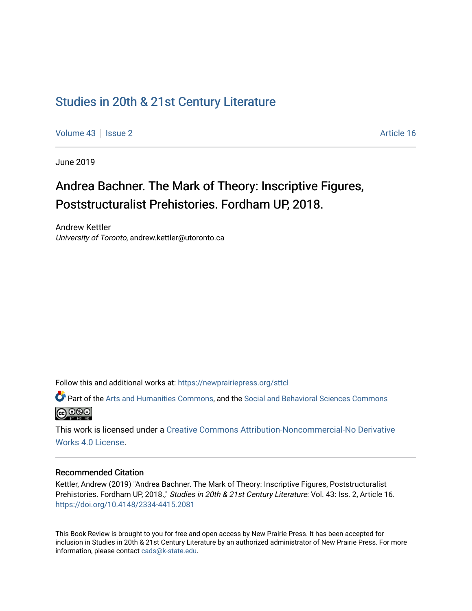## [Studies in 20th & 21st Century Literature](https://newprairiepress.org/sttcl)

[Volume 43](https://newprairiepress.org/sttcl/vol43) | [Issue 2](https://newprairiepress.org/sttcl/vol43/iss2) Article 16

June 2019

# Andrea Bachner. The Mark of Theory: Inscriptive Figures, Poststructuralist Prehistories. Fordham UP, 2018.

Andrew Kettler University of Toronto, andrew.kettler@utoronto.ca

Follow this and additional works at: [https://newprairiepress.org/sttcl](https://newprairiepress.org/sttcl?utm_source=newprairiepress.org%2Fsttcl%2Fvol43%2Fiss2%2F16&utm_medium=PDF&utm_campaign=PDFCoverPages) 

Part of the [Arts and Humanities Commons,](http://network.bepress.com/hgg/discipline/438?utm_source=newprairiepress.org%2Fsttcl%2Fvol43%2Fiss2%2F16&utm_medium=PDF&utm_campaign=PDFCoverPages) and the [Social and Behavioral Sciences Commons](http://network.bepress.com/hgg/discipline/316?utm_source=newprairiepress.org%2Fsttcl%2Fvol43%2Fiss2%2F16&utm_medium=PDF&utm_campaign=PDFCoverPages) <u>@ 000</u>

This work is licensed under a [Creative Commons Attribution-Noncommercial-No Derivative](https://creativecommons.org/licenses/by-nc-nd/4.0/)  [Works 4.0 License](https://creativecommons.org/licenses/by-nc-nd/4.0/).

#### Recommended Citation

Kettler, Andrew (2019) "Andrea Bachner. The Mark of Theory: Inscriptive Figures, Poststructuralist Prehistories. Fordham UP, 2018.," Studies in 20th & 21st Century Literature: Vol. 43: Iss. 2, Article 16. <https://doi.org/10.4148/2334-4415.2081>

This Book Review is brought to you for free and open access by New Prairie Press. It has been accepted for inclusion in Studies in 20th & 21st Century Literature by an authorized administrator of New Prairie Press. For more information, please contact [cads@k-state.edu](mailto:cads@k-state.edu).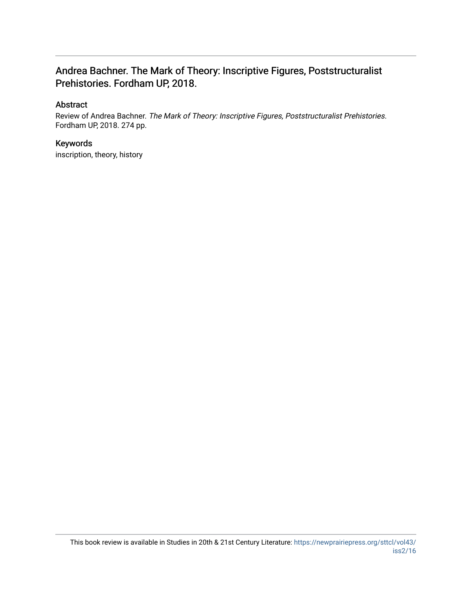### Andrea Bachner. The Mark of Theory: Inscriptive Figures, Poststructuralist Prehistories. Fordham UP, 2018.

### Abstract

Review of Andrea Bachner. The Mark of Theory: Inscriptive Figures, Poststructuralist Prehistories. Fordham UP, 2018. 274 pp.

### Keywords

inscription, theory, history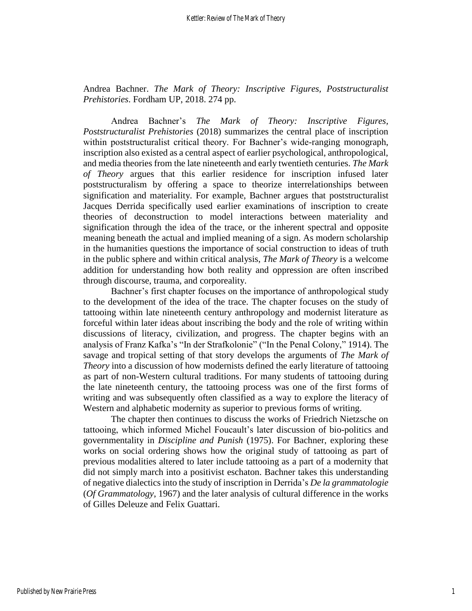Andrea Bachner. *The Mark of Theory: Inscriptive Figures, Poststructuralist Prehistories*. Fordham UP, 2018. 274 pp.

Andrea Bachner's *The Mark of Theory: Inscriptive Figures, Poststructuralist Prehistories* (2018) summarizes the central place of inscription within poststructuralist critical theory. For Bachner's wide-ranging monograph, inscription also existed as a central aspect of earlier psychological, anthropological, and media theories from the late nineteenth and early twentieth centuries. *The Mark of Theory* argues that this earlier residence for inscription infused later poststructuralism by offering a space to theorize interrelationships between signification and materiality. For example, Bachner argues that poststructuralist Jacques Derrida specifically used earlier examinations of inscription to create theories of deconstruction to model interactions between materiality and signification through the idea of the trace, or the inherent spectral and opposite meaning beneath the actual and implied meaning of a sign. As modern scholarship in the humanities questions the importance of social construction to ideas of truth in the public sphere and within critical analysis, *The Mark of Theory* is a welcome addition for understanding how both reality and oppression are often inscribed through discourse, trauma, and corporeality.

Bachner's first chapter focuses on the importance of anthropological study to the development of the idea of the trace. The chapter focuses on the study of tattooing within late nineteenth century anthropology and modernist literature as forceful within later ideas about inscribing the body and the role of writing within discussions of literacy, civilization, and progress. The chapter begins with an analysis of Franz Kafka's "In der Strafkolonie" ("In the Penal Colony," 1914). The savage and tropical setting of that story develops the arguments of *The Mark of Theory* into a discussion of how modernists defined the early literature of tattooing as part of non-Western cultural traditions. For many students of tattooing during the late nineteenth century, the tattooing process was one of the first forms of writing and was subsequently often classified as a way to explore the literacy of Western and alphabetic modernity as superior to previous forms of writing.

The chapter then continues to discuss the works of Friedrich Nietzsche on tattooing, which informed Michel Foucault's later discussion of bio-politics and governmentality in *Discipline and Punish* (1975). For Bachner, exploring these works on social ordering shows how the original study of tattooing as part of previous modalities altered to later include tattooing as a part of a modernity that did not simply march into a positivist eschaton. Bachner takes this understanding of negative dialectics into the study of inscription in Derrida's *De la grammatologie*  (*Of Grammatology*, 1967) and the later analysis of cultural difference in the works of Gilles Deleuze and Felix Guattari.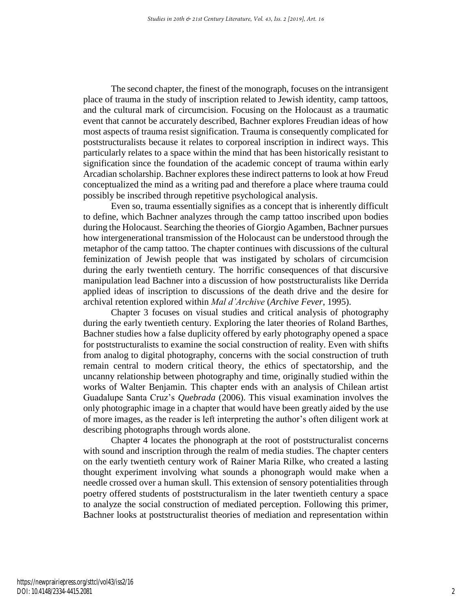The second chapter, the finest of the monograph, focuses on the intransigent place of trauma in the study of inscription related to Jewish identity, camp tattoos, and the cultural mark of circumcision. Focusing on the Holocaust as a traumatic event that cannot be accurately described, Bachner explores Freudian ideas of how most aspects of trauma resist signification. Trauma is consequently complicated for poststructuralists because it relates to corporeal inscription in indirect ways. This particularly relates to a space within the mind that has been historically resistant to signification since the foundation of the academic concept of trauma within early Arcadian scholarship. Bachner explores these indirect patterns to look at how Freud conceptualized the mind as a writing pad and therefore a place where trauma could possibly be inscribed through repetitive psychological analysis.

Even so, trauma essentially signifies as a concept that is inherently difficult to define, which Bachner analyzes through the camp tattoo inscribed upon bodies during the Holocaust. Searching the theories of Giorgio Agamben, Bachner pursues how intergenerational transmission of the Holocaust can be understood through the metaphor of the camp tattoo. The chapter continues with discussions of the cultural feminization of Jewish people that was instigated by scholars of circumcision during the early twentieth century. The horrific consequences of that discursive manipulation lead Bachner into a discussion of how poststructuralists like Derrida applied ideas of inscription to discussions of the death drive and the desire for archival retention explored within *Mal d'Archive* (*Archive Fever*, 1995).

Chapter 3 focuses on visual studies and critical analysis of photography during the early twentieth century. Exploring the later theories of Roland Barthes, Bachner studies how a false duplicity offered by early photography opened a space for poststructuralists to examine the social construction of reality. Even with shifts from analog to digital photography, concerns with the social construction of truth remain central to modern critical theory, the ethics of spectatorship, and the uncanny relationship between photography and time, originally studied within the works of Walter Benjamin. This chapter ends with an analysis of Chilean artist Guadalupe Santa Cruz's *Quebrada* (2006). This visual examination involves the only photographic image in a chapter that would have been greatly aided by the use of more images, as the reader is left interpreting the author's often diligent work at describing photographs through words alone.

Chapter 4 locates the phonograph at the root of poststructuralist concerns with sound and inscription through the realm of media studies. The chapter centers on the early twentieth century work of Rainer Maria Rilke, who created a lasting thought experiment involving what sounds a phonograph would make when a needle crossed over a human skull. This extension of sensory potentialities through poetry offered students of poststructuralism in the later twentieth century a space to analyze the social construction of mediated perception. Following this primer, Bachner looks at poststructuralist theories of mediation and representation within